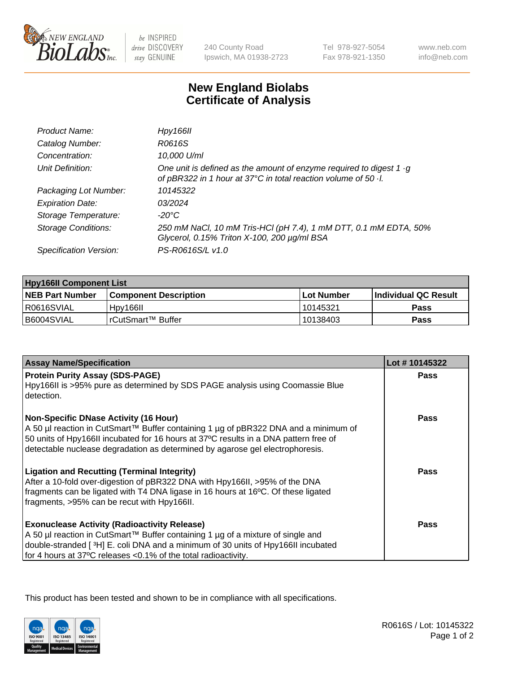

be INSPIRED drive DISCOVERY stay GENUINE

240 County Road Ipswich, MA 01938-2723 Tel 978-927-5054 Fax 978-921-1350

www.neb.com info@neb.com

## **New England Biolabs Certificate of Analysis**

| Product Name:              | Hpy166II                                                                                                                                      |
|----------------------------|-----------------------------------------------------------------------------------------------------------------------------------------------|
| Catalog Number:            | R0616S                                                                                                                                        |
| Concentration:             | 10,000 U/ml                                                                                                                                   |
| Unit Definition:           | One unit is defined as the amount of enzyme required to digest 1 $\cdot$ g<br>of pBR322 in 1 hour at 37°C in total reaction volume of 50 · l. |
| Packaging Lot Number:      | 10145322                                                                                                                                      |
| <b>Expiration Date:</b>    | 03/2024                                                                                                                                       |
| Storage Temperature:       | $-20^{\circ}$ C                                                                                                                               |
| <b>Storage Conditions:</b> | 250 mM NaCl, 10 mM Tris-HCl (pH 7.4), 1 mM DTT, 0.1 mM EDTA, 50%<br>Glycerol, 0.15% Triton X-100, 200 µg/ml BSA                               |
| Specification Version:     | PS-R0616S/L v1.0                                                                                                                              |

| <b>Hpy166II Component List</b> |                         |             |                             |  |
|--------------------------------|-------------------------|-------------|-----------------------------|--|
| <b>NEB Part Number</b>         | l Component Description | ⊺Lot Number | <b>Individual QC Result</b> |  |
| I R0616SVIAL                   | Hpy166II                | 10145321    | Pass                        |  |
| B6004SVIAL                     | I rCutSmart™ Buffer_    | 10138403    | Pass                        |  |

| <b>Assay Name/Specification</b>                                                                                                                                                                                                                                                                              | Lot #10145322 |
|--------------------------------------------------------------------------------------------------------------------------------------------------------------------------------------------------------------------------------------------------------------------------------------------------------------|---------------|
| <b>Protein Purity Assay (SDS-PAGE)</b><br>Hpy166II is >95% pure as determined by SDS PAGE analysis using Coomassie Blue<br>detection.                                                                                                                                                                        | <b>Pass</b>   |
| <b>Non-Specific DNase Activity (16 Hour)</b><br>A 50 µl reaction in CutSmart™ Buffer containing 1 µg of pBR322 DNA and a minimum of<br>50 units of Hpy166II incubated for 16 hours at 37°C results in a DNA pattern free of<br>detectable nuclease degradation as determined by agarose gel electrophoresis. | Pass          |
| <b>Ligation and Recutting (Terminal Integrity)</b><br>After a 10-fold over-digestion of pBR322 DNA with Hpy166II, >95% of the DNA<br>fragments can be ligated with T4 DNA ligase in 16 hours at 16°C. Of these ligated<br>fragments, >95% can be recut with Hpy166II.                                        | <b>Pass</b>   |
| <b>Exonuclease Activity (Radioactivity Release)</b><br>A 50 µl reaction in CutSmart™ Buffer containing 1 µg of a mixture of single and<br>double-stranded [3H] E. coli DNA and a minimum of 30 units of Hpy166II incubated<br>for 4 hours at 37°C releases <0.1% of the total radioactivity.                 | Pass          |

This product has been tested and shown to be in compliance with all specifications.